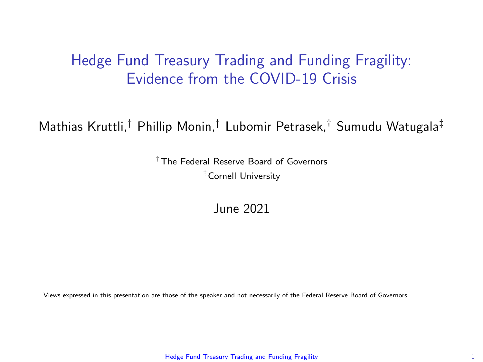### <span id="page-0-0"></span>Hedge Fund Treasury Trading and Funding Fragility: Evidence from the COVID-19 Crisis

Mathias Kruttli,† Phillip Monin,† Lubomir Petrasek,† Sumudu Watugala‡

†The Federal Reserve Board of Governors ‡Cornell University

June 2021

Views expressed in this presentation are those of the speaker and not necessarily of the Federal Reserve Board of Governors.

[Hedge Fund Treasury Trading and Funding Fragility](#page-35-0) 1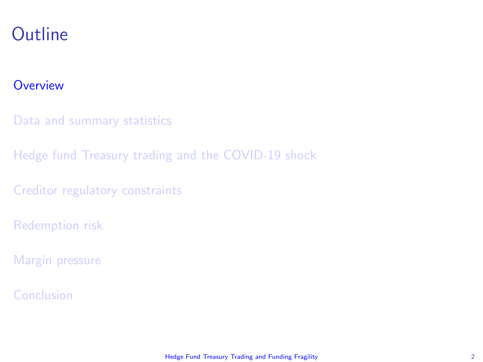### <span id="page-1-0"></span>**Outline**

#### **[Overview](#page-1-0)**

[Data and summary statistics](#page-7-0)

[Hedge fund Treasury trading and the COVID-19 shock](#page-12-0)

[Creditor regulatory constraints](#page-23-0)

[Redemption risk](#page-26-0)

[Margin pressure](#page-31-0)

[Conclusion](#page-34-0)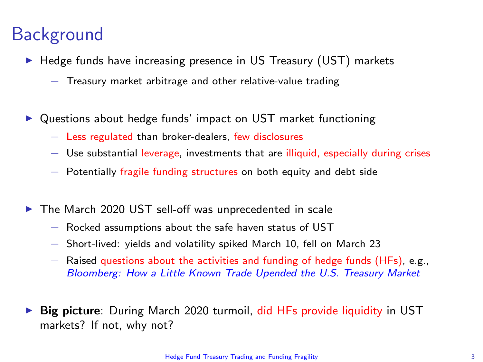### **Background**

- $\blacktriangleright$  Hedge funds have increasing presence in US Treasury (UST) markets
	- − Treasury market arbitrage and other relative-value trading
- Questions about hedge funds' impact on UST market functioning
	- − Less regulated than broker-dealers, few disclosures
	- − Use substantial leverage, investments that are illiquid, especially during crises
	- − Potentially fragile funding structures on both equity and debt side
- $\triangleright$  The March 2020 UST sell-off was unprecedented in scale
	- − Rocked assumptions about the safe haven status of UST
	- − Short-lived: yields and volatility spiked March 10, fell on March 23
	- − Raised questions about the activities and funding of hedge funds (HFs), e.g., [Bloomberg: How a Little Known Trade Upended the U.S. Treasury Market](https://www.bloomberg.com/news/articles/2020-03-17/treasury-futures-domino-that-helped-drive-fed-s-5-trillion-repo)
- **Big picture:** During March 2020 turmoil, did HFs provide liquidity in UST markets? If not, why not?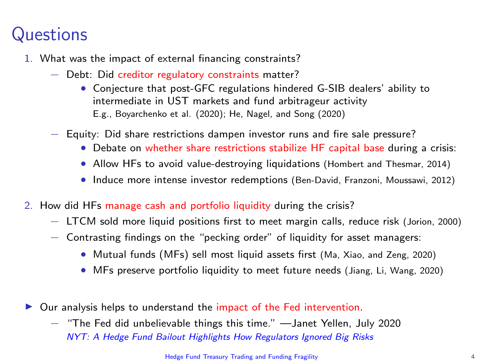## **Questions**

- 1. What was the impact of external financing constraints?
	- − Debt: Did creditor regulatory constraints matter?
		- Conjecture that post-GFC regulations hindered G-SIB dealers' ability to intermediate in UST markets and fund arbitrageur activity E.g., Boyarchenko et al. (2020); He, Nagel, and Song (2020)
	- − Equity: Did share restrictions dampen investor runs and fire sale pressure?
		- Debate on whether share restrictions stabilize HF capital base during a crisis:
		- Allow HFs to avoid value-destroying liquidations (Hombert and Thesmar, 2014)
		- Induce more intense investor redemptions (Ben-David, Franzoni, Moussawi, 2012)
- 2. How did HFs manage cash and portfolio liquidity during the crisis?
	- − LTCM sold more liquid positions first to meet margin calls, reduce risk (Jorion, 2000)
	- − Contrasting findings on the "pecking order" of liquidity for asset managers:
		- Mutual funds (MFs) sell most liquid assets first (Ma, Xiao, and Zeng, 2020)
		- MFs preserve portfolio liquidity to meet future needs (Jiang, Li, Wang, 2020)
- $\triangleright$  Our analysis helps to understand the impact of the Fed intervention.
	- − "The Fed did unbelievable things this time." —Janet Yellen, July 2020 [NYT: A Hedge Fund Bailout Highlights How Regulators Ignored Big Risks](https://www.nytimes.com/2020/07/23/business/economy/hedge-fund-bailout-dodd-frank.html)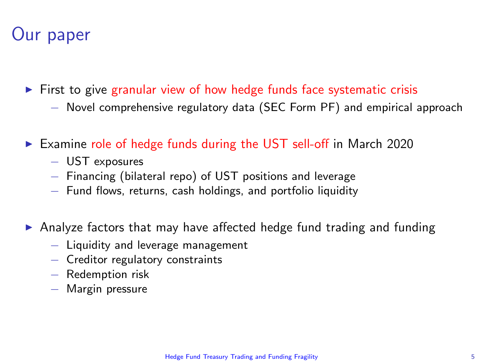## Our paper

- $\triangleright$  First to give granular view of how hedge funds face systematic crisis
	- − Novel comprehensive regulatory data (SEC Form PF) and empirical approach
- $\triangleright$  Examine role of hedge funds during the UST sell-off in March 2020
	- − UST exposures
	- − Financing (bilateral repo) of UST positions and leverage
	- − Fund flows, returns, cash holdings, and portfolio liquidity
- $\triangleright$  Analyze factors that may have affected hedge fund trading and funding
	- − Liquidity and leverage management
	- − Creditor regulatory constraints
	- − Redemption risk
	- − Margin pressure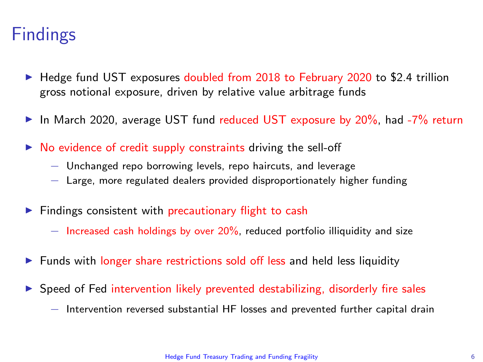### Findings

- $\blacktriangleright$  Hedge fund UST exposures doubled from 2018 to February 2020 to \$2.4 trillion gross notional exposure, driven by relative value arbitrage funds
- In March 2020, average UST fund reduced UST exposure by 20%, had  $-7\%$  return
- $\triangleright$  No evidence of credit supply constraints driving the sell-off
	- − Unchanged repo borrowing levels, repo haircuts, and leverage
	- − Large, more regulated dealers provided disproportionately higher funding
- $\blacktriangleright$  Findings consistent with precautionary flight to cash
	- − Increased cash holdings by over 20%, reduced portfolio illiquidity and size
- Funds with longer share restrictions sold off less and held less liquidity
- $\triangleright$  Speed of Fed intervention likely prevented destabilizing, disorderly fire sales
	- − Intervention reversed substantial HF losses and prevented further capital drain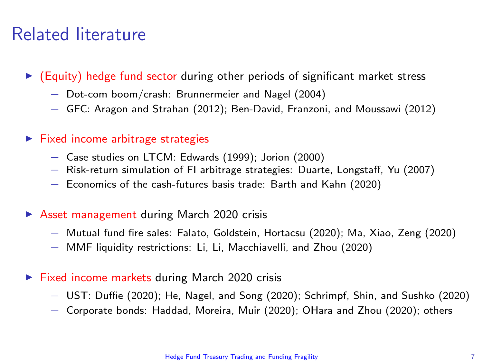### Related literature

- $\blacktriangleright$  (Equity) hedge fund sector during other periods of significant market stress
	- − Dot-com boom/crash: Brunnermeier and Nagel (2004)
	- − GFC: Aragon and Strahan (2012); Ben-David, Franzoni, and Moussawi (2012)
- $\blacktriangleright$  Fixed income arbitrage strategies
	- − Case studies on LTCM: Edwards (1999); Jorion (2000)
	- − Risk-return simulation of FI arbitrage strategies: Duarte, Longstaff, Yu (2007)
	- − Economics of the cash-futures basis trade: Barth and Kahn (2020)
- $\triangleright$  Asset management during March 2020 crisis
	- − Mutual fund fire sales: Falato, Goldstein, Hortacsu (2020); Ma, Xiao, Zeng (2020)
	- − MMF liquidity restrictions: Li, Li, Macchiavelli, and Zhou (2020)
- $\triangleright$  Fixed income markets during March 2020 crisis
	- − UST: Duffie (2020); He, Nagel, and Song (2020); Schrimpf, Shin, and Sushko (2020)
	- − Corporate bonds: Haddad, Moreira, Muir (2020); OHara and Zhou (2020); others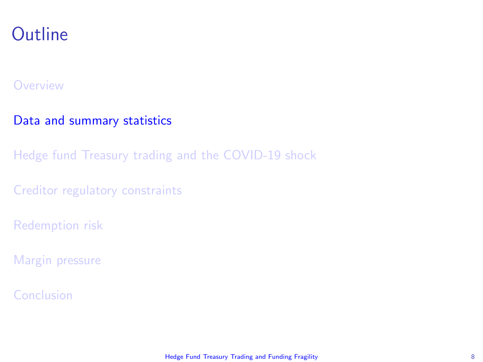### <span id="page-7-0"></span>**Outline**

#### **[Overview](#page-1-0)**

#### [Data and summary statistics](#page-7-0)

[Hedge fund Treasury trading and the COVID-19 shock](#page-12-0)

[Creditor regulatory constraints](#page-23-0)

[Redemption risk](#page-26-0)

[Margin pressure](#page-31-0)

[Conclusion](#page-34-0)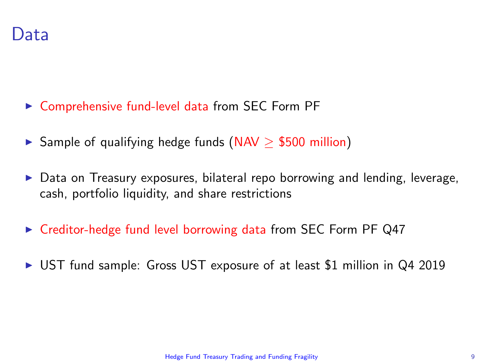- $\triangleright$  Comprehensive fund-level data from SEC Form PF
- ► Sample of qualifying hedge funds (NAV  $\ge$  \$500 million)
- $\triangleright$  Data on Treasury exposures, bilateral repo borrowing and lending, leverage, cash, portfolio liquidity, and share restrictions
- $\triangleright$  Creditor-hedge fund level borrowing data from SEC Form PF Q47
- ▶ UST fund sample: Gross UST exposure of at least \$1 million in Q4 2019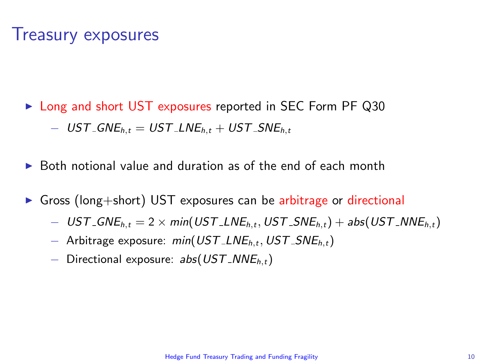### Treasury exposures

- ► Long and short UST exposures reported in SEC Form PF Q30  $-$  UST\_GNE<sub>h,t</sub> = UST\_LNE<sub>h,t</sub> + UST\_SNE<sub>h,t</sub>
- $\triangleright$  Both notional value and duration as of the end of each month
- $\triangleright$  Gross (long+short) UST exposures can be arbitrage or directional
	- $-$  UST\_GNE<sub>h,t</sub> = 2 × min(UST\_LNE<sub>h,t</sub>, UST\_SNE<sub>h,t</sub>) + abs(UST\_NNE<sub>h,t</sub>)
	- − Arbitrage exposure: min(UST LNEh,t, UST SNEh,t)
	- $-$  Directional exposure: abs(UST\_NNE<sub>h,t</sub>)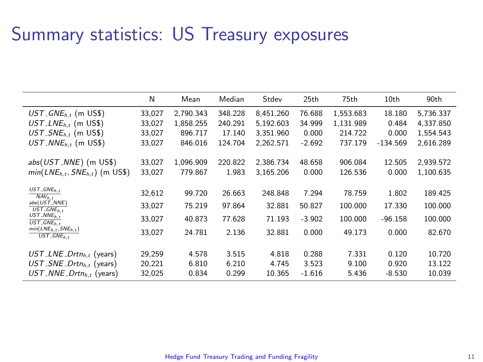### Summary statistics: US Treasury exposures

|                                                                      | N      | Mean      | Median  | Stdev     | 25th     | 75th      | 10th       | 90th      |
|----------------------------------------------------------------------|--------|-----------|---------|-----------|----------|-----------|------------|-----------|
| $UST\_GNE_{h,t}$ (m US\$)                                            | 33,027 | 2.790.343 | 348.228 | 8,451.260 | 76.688   | 1,553.683 | 18.180     | 5,736.337 |
| $UST$ <sub>-LNE<sub>h,t</sub> (m US\$)</sub>                         | 33.027 | 1.858.255 | 240.291 | 5.192.603 | 34.999   | 1.131.989 | 0.484      | 4.337.850 |
| $UST$ <sub>-SNE<sub>h</sub>, (m US\$)</sub>                          | 33,027 | 896.717   | 17.140  | 3.351.960 | 0.000    | 214.722   | 0.000      | 1.554.543 |
| $UST$ <sub>-NNE<sub>h</sub>, (m US\$)</sub>                          | 33,027 | 846.016   | 124.704 | 2.262.571 | $-2.692$ | 737.179   | $-134.569$ | 2,616.289 |
|                                                                      |        |           |         |           |          |           |            |           |
| abs(UST_NNE) (m US\$)                                                | 33.027 | 1.096.909 | 220.822 | 2.386.734 | 48.658   | 906.084   | 12.505     | 2,939.572 |
| $min(LNE_{h.t}, SNE_{h.t})$ (m US\$)                                 | 33,027 | 779.867   | 1.983   | 3.165.206 | 0.000    | 126.536   | 0.000      | 1.100.635 |
|                                                                      |        |           |         |           |          |           |            |           |
| $UST$ <sub>-</sub> $GNE$ <sub>h,t</sub><br>$NAV_{h.t}$               | 32,612 | 99.720    | 26.663  | 248.848   | 7.294    | 78.759    | 1.802      | 189.425   |
| abs(UST_NNE)<br>$\overline{UST\_GNE_{h,t}}$                          | 33,027 | 75.219    | 97.864  | 32.881    | 50.827   | 100.000   | 17.330     | 100.000   |
| $UST$ <sub>-NNE<sub>h,t</sub></sub><br>$\overline{UST\_GNE}_{h.t}$   | 33,027 | 40.873    | 77.628  | 71.193    | $-3.902$ | 100.000   | $-96.158$  | 100.000   |
| $min(LNE_{h.t.}, SNE_{h.t.})$<br>$UST$ <sub>-GNE<sub>h.t</sub></sub> | 33.027 | 24.781    | 2.136   | 32.881    | 0.000    | 49.173    | 0.000      | 82.670    |
|                                                                      |        |           |         |           |          |           |            |           |
| $UST$ <sub>-</sub> LNE <sub>-</sub> Drtn <sub>h</sub> , (years)      | 29.259 | 4.578     | 3.515   | 4.818     | 0.288    | 7.331     | 0.120      | 10.720    |
| $UST$ _SNE_Drtn <sub>h</sub> , (years)                               | 20,221 | 6.810     | 6.210   | 4.745     | 3.523    | 9.100     | 0.920      | 13.122    |
| $UST$ <sub>-</sub> $NNE$ - $Drtn_{h,t}$ (years)                      | 32,025 | 0.834     | 0.299   | 10.365    | $-1.616$ | 5.436     | $-8.530$   | 10.039    |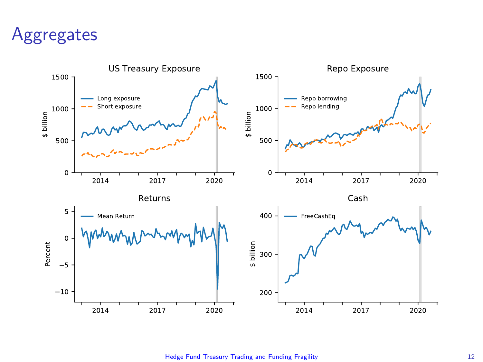### **Aggregates**



[Hedge Fund Treasury Trading and Funding Fragility](#page-0-0) 12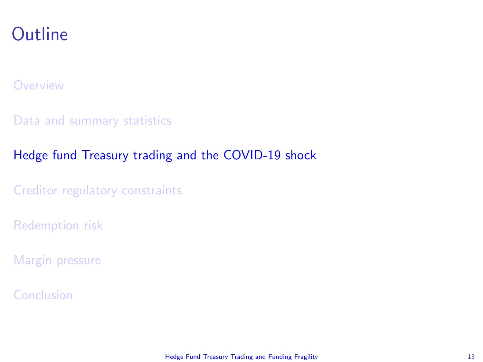### <span id="page-12-0"></span>**Outline**

#### **[Overview](#page-1-0)**

[Data and summary statistics](#page-7-0)

### [Hedge fund Treasury trading and the COVID-19 shock](#page-12-0)

[Creditor regulatory constraints](#page-23-0)

[Redemption risk](#page-26-0)

[Margin pressure](#page-31-0)

[Conclusion](#page-34-0)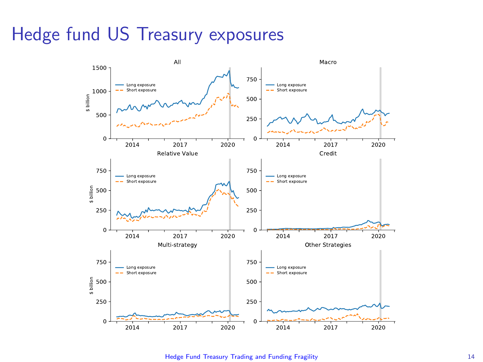### Hedge fund US Treasury exposures



[Hedge Fund Treasury Trading and Funding Fragility](#page-0-0) 14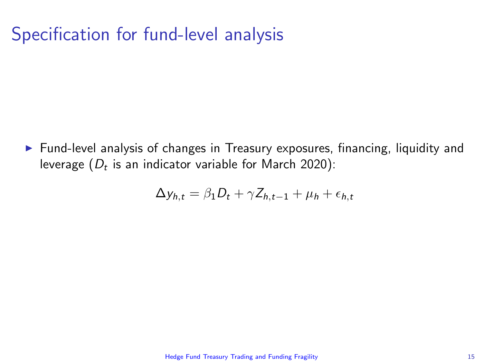### Specification for fund-level analysis

 $\triangleright$  Fund-level analysis of changes in Treasury exposures, financing, liquidity and leverage  $(D_t$  is an indicator variable for March 2020):

$$
\Delta y_{h,t} = \beta_1 D_t + \gamma Z_{h,t-1} + \mu_h + \epsilon_{h,t}
$$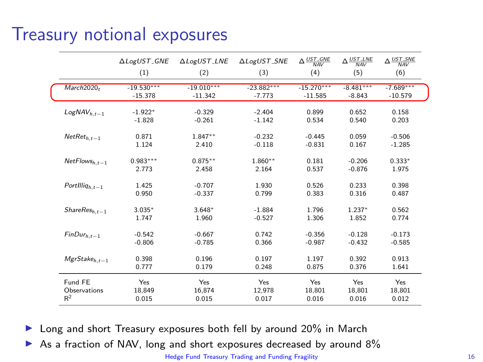### Treasury notional exposures

|                        | △LogUST_GNE  | ALogUST_LNE  | ALogUST_SNE  | $\Delta \frac{UST\_GNE}{MAV}$ | $\Delta \frac{UST\_LNE}{MAV}$ | $\Delta \frac{\text{UST\_SNE}}{\text{NAV}}$ |
|------------------------|--------------|--------------|--------------|-------------------------------|-------------------------------|---------------------------------------------|
|                        | (1)          | (2)          | (3)          | (4)                           | (5)                           | (6)                                         |
| March2020 <sub>t</sub> | $-19.530***$ | $-19.010***$ | $-23.882***$ | $-15.270***$                  | $-8.481***$                   | $-7.689***$                                 |
|                        | $-15.378$    | $-11.342$    | $-7.773$     | $-11.585$                     | $-8.843$                      | $-10.579$                                   |
| $LogNAV_{h.t-1}$       | $-1.922*$    | $-0.329$     | $-2.404$     | 0.899                         | 0.652                         | 0.158                                       |
|                        | $-1.828$     | $-0.261$     | $-1.142$     | 0.534                         | 0.540                         | 0.203                                       |
| $NetRet_{h,t-1}$       | 0.871        | $1.847**$    | $-0.232$     | $-0.445$                      | 0.059                         | $-0.506$                                    |
|                        | 1.124        | 2.410        | $-0.118$     | $-0.831$                      | 0.167                         | $-1.285$                                    |
| $NetFlows_{h,t-1}$     | $0.983***$   | $0.875**$    | $1.860**$    | 0.181                         | $-0.206$                      | $0.333*$                                    |
|                        | 2.773        | 2.458        | 2.164        | 0.537                         | $-0.876$                      | 1.975                                       |
| $Portllliq_{h,t-1}$    | 1.425        | $-0.707$     | 1.930        | 0.526                         | 0.233                         | 0.398                                       |
|                        | 0.950        | $-0.337$     | 0.799        | 0.383                         | 0.316                         | 0.487                                       |
| $ShareResh,t-1$        | $3.035*$     | $3.648*$     | $-1.884$     | 1.796                         | $1.237*$                      | 0.562                                       |
|                        | 1.747        | 1.960        | $-0.527$     | 1.306                         | 1.852                         | 0.774                                       |
| $FinDur_{h,t-1}$       | $-0.542$     | $-0.667$     | 0.742        | $-0.356$                      | $-0.128$                      | $-0.173$                                    |
|                        | $-0.806$     | $-0.785$     | 0.366        | $-0.987$                      | $-0.432$                      | $-0.585$                                    |
| $MgrStakeh,t-1$        | 0.398        | 0.196        | 0.197        | 1.197                         | 0.392                         | 0.913                                       |
|                        | 0.777        | 0.179        | 0.248        | 0.875                         | 0.376                         | 1.641                                       |
| Fund FE                | Yes          | Yes          | Yes          | Yes                           | Yes                           | Yes                                         |
| Observations           | 18.849       | 16.874       | 12.978       | 18.801                        | 18.801                        | 18,801                                      |
| R <sup>2</sup>         | 0.015        | 0.015        | 0.017        | 0.016                         | 0.016                         | 0.012                                       |

 $\blacktriangleright$  Long and short Treasury exposures both fell by around 20% in March

As a fraction of NAV, long and short exposures decreased by around 8%

[Hedge Fund Treasury Trading and Funding Fragility](#page-0-0) 16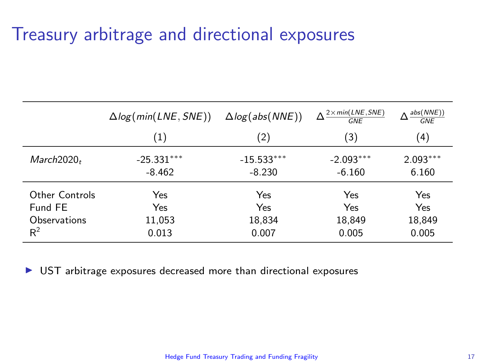### Treasury arbitrage and directional exposures

|                | $\Delta$ log(min(LNE, SNE)) | $\Delta log(abs(NNE))$ | $2 \times min(LNE, SNE)$<br><b>GNF</b> | abs(NNE))<br>GNF |
|----------------|-----------------------------|------------------------|----------------------------------------|------------------|
|                | $\left( 1\right)$           | (2)                    | (3)                                    | (4)              |
| $March2020_t$  | $-25.331***$                | $-15.533***$           | $-2.093***$                            | $2.093***$       |
|                | $-8.462$                    | $-8.230$               | $-6.160$                               | 6.160            |
| Other Controls | Yes                         | Yes                    | Yes                                    | Yes              |
| Fund FE        | Yes                         | Yes                    | Yes                                    | Yes              |
| Observations   | 11,053                      | 18,834                 | 18,849                                 | 18,849           |
| $R^2$          | 0.013                       | 0.007                  | 0.005                                  | 0.005            |

 $\triangleright$  UST arbitrage exposures decreased more than directional exposures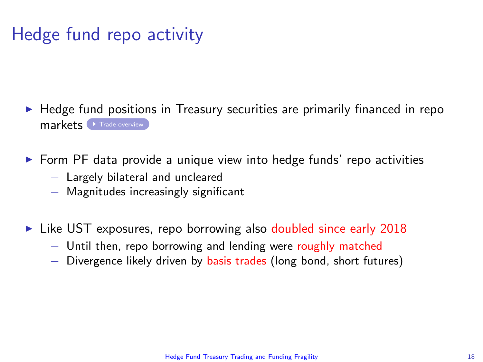# Hedge fund repo activity

- <span id="page-17-0"></span> $\blacktriangleright$  Hedge fund positions in Treasury securities are primarily financed in repo markets **F** [Trade overview](#page-40-0)
- $\triangleright$  Form PF data provide a unique view into hedge funds' repo activities
	- − Largely bilateral and uncleared
	- − Magnitudes increasingly significant
- $\triangleright$  Like UST exposures, repo borrowing also doubled since early 2018
	- − Until then, repo borrowing and lending were roughly matched
	- − Divergence likely driven by basis trades (long bond, short futures)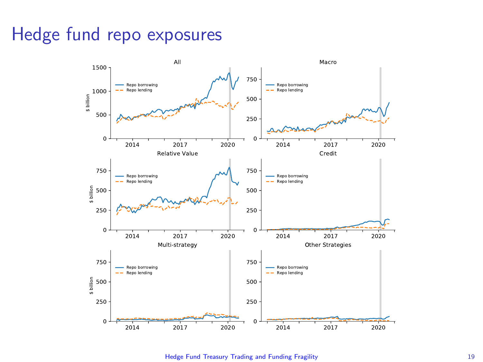## Hedge fund repo exposures



[Hedge Fund Treasury Trading and Funding Fragility](#page-0-0) 19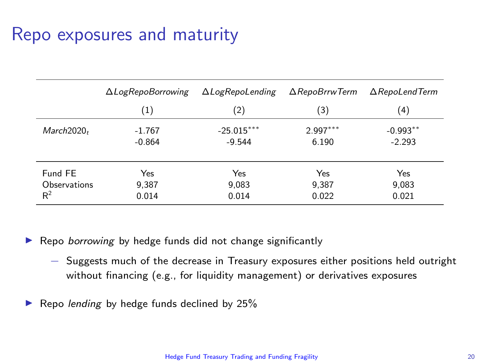### Repo exposures and maturity

|                        | $\Delta$ LogRepoBorrowing | $\Delta$ LogRepoLending | $\Delta$ RepoBrrwTerm | $\Delta$ RepoLendTerm |  |
|------------------------|---------------------------|-------------------------|-----------------------|-----------------------|--|
|                        | $\scriptstyle{(1)}$       | (2)                     | (3)                   | $\left( 4\right)$     |  |
| March2020 <sub>r</sub> | $-1.767$                  | $-25.015***$            | $2.997***$            | $-0.993**$            |  |
|                        | $-0.864$                  | $-9.544$                | 6.190                 | $-2.293$              |  |
| Fund FE                | Yes                       | Yes                     | Yes                   | Yes                   |  |
| Observations           | 9,387                     | 9,083                   | 9,387                 | 9,083                 |  |
| $R^2$                  | 0.014                     | 0.014                   | 0.022                 | 0.021                 |  |

Repo borrowing by hedge funds did not change significantly

- − Suggests much of the decrease in Treasury exposures either positions held outright without financing (e.g., for liquidity management) or derivatives exposures
- Repo lending by hedge funds declined by 25%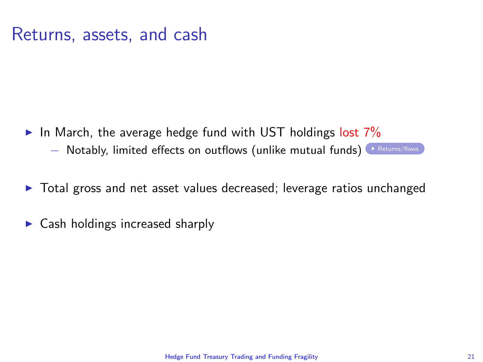### Returns, assets, and cash

- <span id="page-20-0"></span>In March, the average hedge fund with UST holdings lost  $7\%$ 
	- − Notably, limited effects on outflows (unlike mutual funds) [Returns/flows](#page-44-0)
- $\triangleright$  Total gross and net asset values decreased; leverage ratios unchanged
- $\triangleright$  Cash holdings increased sharply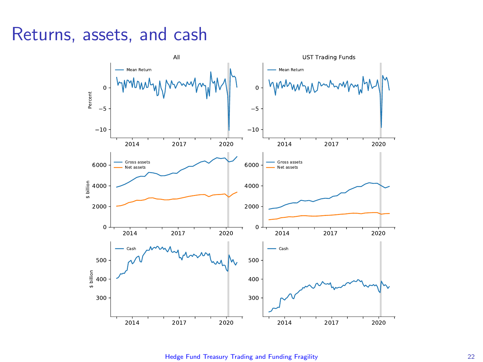### Returns, assets, and cash



[Hedge Fund Treasury Trading and Funding Fragility](#page-0-0) 22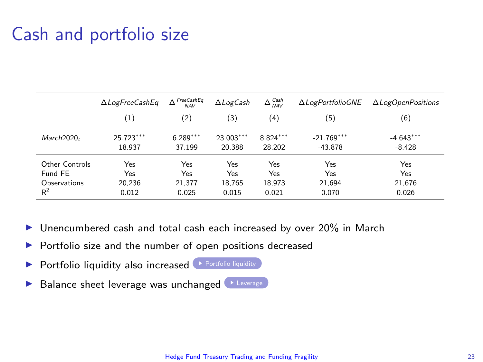### Cash and portfolio size

<span id="page-22-0"></span>

|                | $\Delta$ LogFreeCashEq | $\frac{FreeCashEq}{NAV}$<br>Δ | $\Delta$ LogCash | $\Delta \frac{Cash}{NAV}$ | <b>ALogPortfolioGNE</b> | $\Delta$ LogOpenPositions |
|----------------|------------------------|-------------------------------|------------------|---------------------------|-------------------------|---------------------------|
|                | $\left(1\right)$       | (2)                           | (3)              | (4)                       | (5)                     | (6)                       |
| March2020,     | 25.723***              | $6.289***$                    | 23.003***        | $8.824***$                | $-21.769***$            | $-4.643***$               |
|                | 18.937                 | 37.199                        | 20.388           | 28.202                    | $-43.878$               | $-8.428$                  |
| Other Controls | Yes                    | Yes                           | Yes              | Yes                       | Yes                     | Yes                       |
| Fund FE        | Yes                    | Yes                           | Yes              | Yes                       | Yes                     | Yes                       |
| Observations   | 20.236                 | 21.377                        | 18,765           | 18.973                    | 21.694                  | 21,676                    |
| R <sup>2</sup> | 0.012                  | 0.025                         | 0.015            | 0.021                     | 0.070                   | 0.026                     |

- $\triangleright$  Unencumbered cash and total cash each increased by over 20% in March
- $\triangleright$  Portfolio size and the number of open positions decreased
- $\triangleright$  [Portfolio liquidity](#page-45-0) also increased  $\triangleright$  Portfolio liquidity
- Balance sheet leverage was unchanged [Leverage](#page-45-0)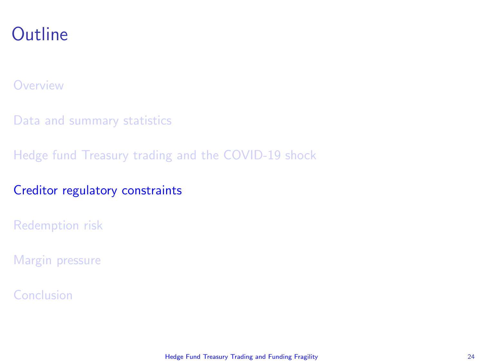### <span id="page-23-0"></span>**Outline**

#### **[Overview](#page-1-0)**

[Data and summary statistics](#page-7-0)

[Hedge fund Treasury trading and the COVID-19 shock](#page-12-0)

### [Creditor regulatory constraints](#page-23-0)

[Redemption risk](#page-26-0)

[Margin pressure](#page-31-0)

[Conclusion](#page-34-0)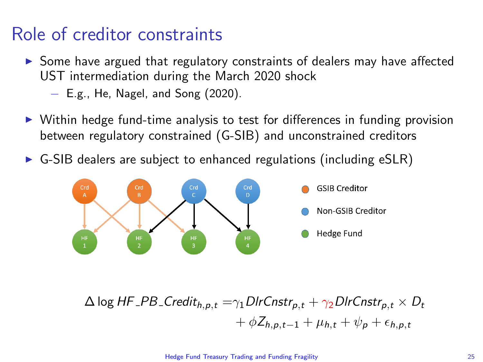### Role of creditor constraints

- $\triangleright$  Some have argued that regulatory constraints of dealers may have affected UST intermediation during the March 2020 shock
	- − E.g., He, Nagel, and Song (2020).
- $\triangleright$  Within hedge fund-time analysis to test for differences in funding provision between regulatory constrained (G-SIB) and unconstrained creditors
- $\triangleright$  G-SIB dealers are subject to enhanced regulations (including eSLR)



$$
\Delta \log HF\_PB\_Credit_{h,p,t} = \gamma_1 Dir(Phi_{p,t} + \gamma_2 Dir(Phi_{p,t} \times D_t + \phi Z_{h,p,t-1} + \mu_{h,t} + \psi_p + \epsilon_{h,p,t})
$$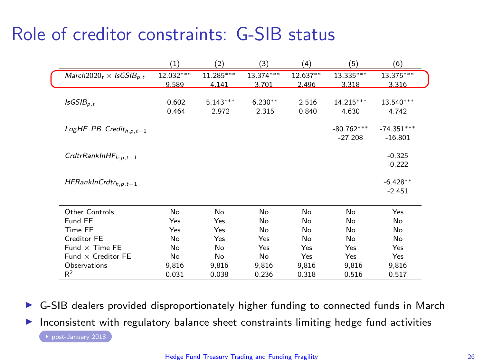### <span id="page-25-0"></span>Role of creditor constraints: G-SIB status

|                                                       | $\left(1\right)$     | (2)                     | (3)                    | (4)                  | (5)                       | (6)                       |
|-------------------------------------------------------|----------------------|-------------------------|------------------------|----------------------|---------------------------|---------------------------|
| March2020 <sub>t</sub> $\times$ IsGSIB <sub>p.t</sub> | 12.032***<br>9.589   | $11.285***$<br>4.141    | 13.374***<br>3.701     | $12.637**$<br>2.496  | 13.335***<br>3.318        | 13.375***<br>3.316        |
| $IsGSIB_{p,t}$                                        | $-0.602$<br>$-0.464$ | $-5.143***$<br>$-2.972$ | $-6.230**$<br>$-2.315$ | $-2.516$<br>$-0.840$ | 14.215***<br>4.630        | 13.540***<br>4.742        |
| $LogHF\_PB\_Credit_{h,p,t-1}$                         |                      |                         |                        |                      | $-80.762***$<br>$-27.208$ | $-74.351***$<br>$-16.801$ |
| Crdtr $RankInHF_{h.p.t-1}$                            |                      |                         |                        |                      |                           | $-0.325$<br>$-0.222$      |
| $HFRankInCrdtr_{h,p,t-1}$                             |                      |                         |                        |                      |                           | $-6.428**$<br>$-2.451$    |
| Other Controls                                        | No                   | No                      | No                     | No                   | No                        | Yes                       |
| Fund FE                                               | Yes                  | Yes                     | No                     | No                   | No                        | No                        |
| Time FE                                               | Yes                  | Yes                     | No                     | No                   | No                        | No                        |
| Creditor FE                                           | No                   | Yes                     | Yes                    | No                   | No                        | No                        |
| $Fund \times Time FE$                                 | No                   | No                      | Yes                    | Yes                  | Yes                       | Yes                       |
| Fund $\times$ Creditor FE                             | No                   | No                      | No                     | Yes                  | Yes                       | Yes                       |
| Observations                                          | 9,816                | 9,816                   | 9,816                  | 9,816                | 9,816                     | 9,816                     |
| $R^2$                                                 | 0.031                | 0.038                   | 0.236                  | 0.318                | 0.516                     | 0.517                     |

 $\triangleright$  G-SIB dealers provided disproportionately higher funding to connected funds in March

 $\blacktriangleright$  Inconsistent with regulatory balance sheet constraints limiting hedge fund activities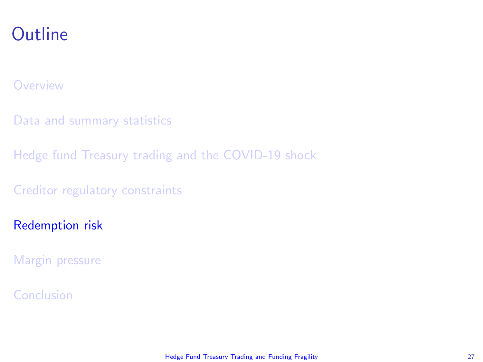### <span id="page-26-0"></span>**Outline**

#### **[Overview](#page-1-0)**

[Data and summary statistics](#page-7-0)

[Hedge fund Treasury trading and the COVID-19 shock](#page-12-0)

[Creditor regulatory constraints](#page-23-0)

#### [Redemption risk](#page-26-0)

[Margin pressure](#page-31-0)

#### [Conclusion](#page-34-0)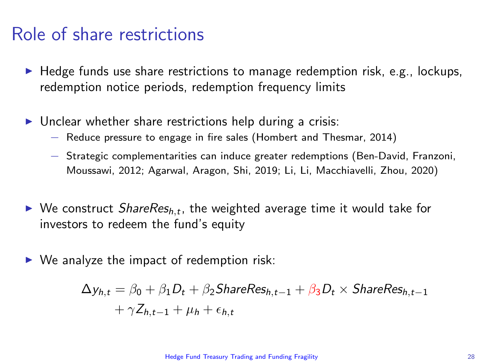### Role of share restrictions

- $\blacktriangleright$  Hedge funds use share restrictions to manage redemption risk, e.g., lockups, redemption notice periods, redemption frequency limits
- $\triangleright$  Unclear whether share restrictions help during a crisis:
	- − Reduce pressure to engage in fire sales (Hombert and Thesmar, 2014)
	- − Strategic complementarities can induce greater redemptions (Ben-David, Franzoni, Moussawi, 2012; Agarwal, Aragon, Shi, 2019; Li, Li, Macchiavelli, Zhou, 2020)
- $\blacktriangleright$  We construct ShareRes<sub>h,t</sub>, the weighted average time it would take for investors to redeem the fund's equity
- $\triangleright$  We analyze the impact of redemption risk:

$$
\Delta y_{h,t} = \beta_0 + \beta_1 D_t + \beta_2 \text{ShareRes}_{h,t-1} + \beta_3 D_t \times \text{ShareRes}_{h,t-1} + \gamma Z_{h,t-1} + \mu_h + \epsilon_{h,t}
$$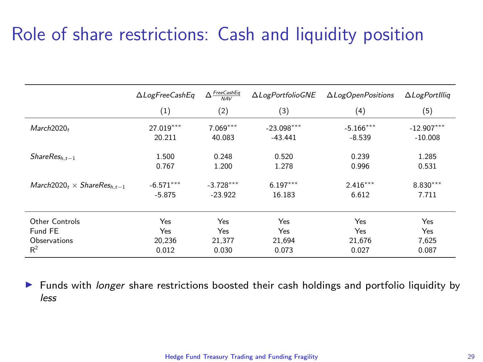### Role of share restrictions: Cash and liquidity position

|                                   | ∆LogFreeCashEq | $\frac{FreeCashEq}{NAV}$<br>Δ | ALogPortfolioGNE | $\Delta$ LogOpenPositions | $\Delta$ LogPortIllig |
|-----------------------------------|----------------|-------------------------------|------------------|---------------------------|-----------------------|
|                                   | (1)            | (2)                           | (3)              | (4)                       | (5)                   |
| March2020-                        | 27.019***      | $7.069***$                    | $-23.098***$     | $-5.166***$               | $-12.907***$          |
|                                   | 20.211         | 40.083                        | $-43.441$        | $-8.539$                  | $-10.008$             |
| $ShareResh,t-1$                   | 1.500          | 0.248                         | 0.520            | 0.239                     | 1.285                 |
|                                   | 0.767          | 1.200                         | 1.278            | 0.996                     | 0.531                 |
| $March2020t \times ShareResh,t-1$ | $-6.571***$    | $-3.728***$                   | $6.197***$       | $2.416***$                | $8.830***$            |
|                                   | $-5.875$       | $-23.922$                     | 16.183           | 6.612                     | 7.711                 |
| Other Controls                    | Yes            | Yes                           | Yes              | Yes                       | Yes                   |
| Fund FE                           | Yes            | Yes                           | Yes              | Yes                       | Yes                   |
| Observations                      | 20.236         | 21.377                        | 21.694           | 21.676                    | 7.625                 |
| R <sup>2</sup>                    | 0.012          | 0.030                         | 0.073            | 0.027                     | 0.087                 |

In Funds with *longer* share restrictions boosted their cash holdings and portfolio liquidity by less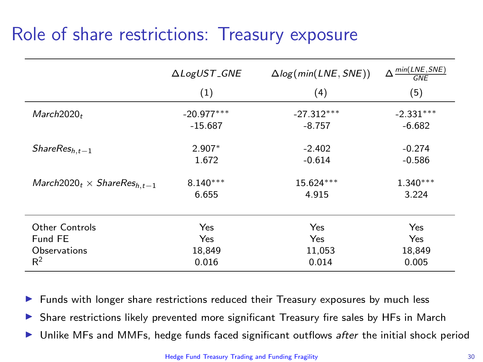### Role of share restrictions: Treasury exposure

|                                   | $\triangle LogUST$ <sub>-GNE</sub><br>(1) | $\Delta log(min(LNE, SNE))$<br>(4) | $\Delta \frac{min(LNE, SNE)}{max(LNE, SNE)}$<br><b>GNE</b><br>(5) |
|-----------------------------------|-------------------------------------------|------------------------------------|-------------------------------------------------------------------|
| March2020 <sub>t</sub>            | $-20.977***$                              | $-27.312***$                       | $-2.331***$                                                       |
|                                   | $-15.687$                                 | $-8.757$                           | $-6.682$                                                          |
| $ShareResh,t-1$                   | $2.907*$                                  | $-2.402$                           | $-0.274$                                                          |
|                                   | 1.672                                     | $-0.614$                           | $-0.586$                                                          |
| $March2020t \times ShareResh.t-1$ | $8.140***$                                | 15.624***                          | $1.340***$                                                        |
|                                   | 6.655                                     | 4.915                              | 3.224                                                             |
| <b>Other Controls</b>             | Yes                                       | Yes                                | Yes                                                               |
| Fund FE                           | Yes                                       | Yes                                | Yes                                                               |
| Observations                      | 18,849                                    | 11,053                             | 18,849                                                            |
| $R^2$                             | 0.016                                     | 0.014                              | 0.005                                                             |

Funds with longer share restrictions reduced their Treasury exposures by much less

Share restrictions likely prevented more significant Treasury fire sales by HFs in March

Unlike MFs and MMFs, hedge funds faced significant outflows after the initial shock period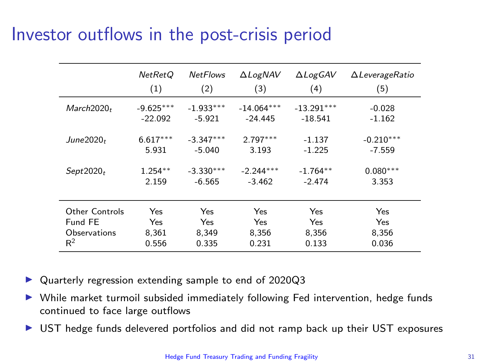### Investor outflows in the post-crisis period

|                       | <b>NetRetQ</b> | <b>NetFlows</b> | $\Delta$ LogNAV | $\triangle Log$ GAV | $\Delta$ LeverageRatio |
|-----------------------|----------------|-----------------|-----------------|---------------------|------------------------|
|                       | (1)            | (2)             | (3)             | (4)                 | (5)                    |
| $March2020_t$         | $-9.625***$    | $-1.933***$     | $-14.064***$    | $-13.291***$        | $-0.028$               |
|                       | $-22.092$      | $-5.921$        | $-24.445$       | $-18.541$           | $-1.162$               |
| June $2020t$          | $6.617***$     | $-3.347***$     | $2.797***$      | $-1.137$            | $-0.210***$            |
|                       | 5.931          | $-5.040$        | 3.193           | $-1.225$            | $-7.559$               |
| Sept2020 <sub>t</sub> | $1.254**$      | $-3.330***$     | $-2.244***$     | $-1.764**$          | $0.080***$             |
|                       | 2.159          | $-6.565$        | $-3.462$        | $-2.474$            | 3.353                  |
| Other Controls        | Yes            | Yes             | Yes             | Yes                 | Yes                    |
| Fund FE               | Yes            | Yes             | Yes             | Yes                 | <b>Yes</b>             |
| Observations          | 8,361          | 8,349           | 8,356           | 8,356               | 8,356                  |
| $R^2$                 | 0.556          | 0.335           | 0.231           | 0.133               | 0.036                  |

- Quarterly regression extending sample to end of 2020Q3
- $\triangleright$  While market turmoil subsided immediately following Fed intervention, hedge funds continued to face large outflows
- UST hedge funds delevered portfolios and did not ramp back up their UST exposures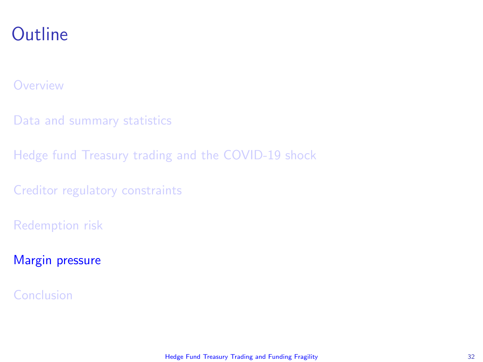### <span id="page-31-0"></span>**Outline**

#### **[Overview](#page-1-0)**

[Data and summary statistics](#page-7-0)

[Hedge fund Treasury trading and the COVID-19 shock](#page-12-0)

[Creditor regulatory constraints](#page-23-0)

[Redemption risk](#page-26-0)

[Margin pressure](#page-31-0)

[Conclusion](#page-34-0)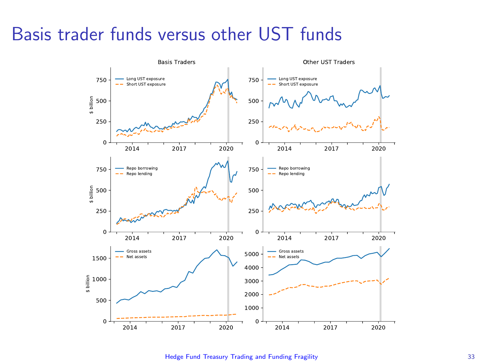### Basis trader funds versus other UST funds



[Hedge Fund Treasury Trading and Funding Fragility](#page-0-0) 33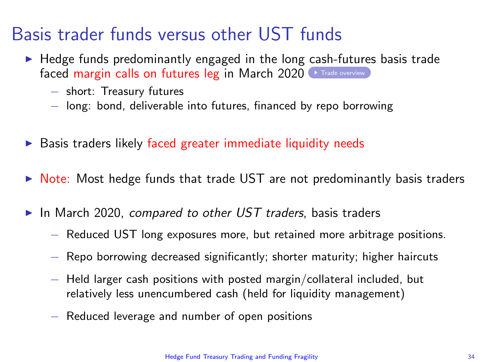### Basis trader funds versus other UST funds

- <span id="page-33-0"></span> $\blacktriangleright$  Hedge funds predominantly engaged in the long cash-futures basis trade faced margin calls on futures leg in March 2020 [Trade overview](#page-40-0)
	- − short: Treasury futures
	- − long: bond, deliverable into futures, financed by repo borrowing
- $\triangleright$  Basis traders likely faced greater immediate liquidity needs
- $\triangleright$  Note: Most hedge funds that trade UST are not predominantly basis traders
- In March 2020, compared to other UST traders, basis traders
	- − Reduced UST long exposures more, but retained more arbitrage positions.
	- − Repo borrowing decreased significantly; shorter maturity; higher haircuts
	- − Held larger cash positions with posted margin/collateral included, but relatively less unencumbered cash (held for liquidity management)
	- − Reduced leverage and number of open positions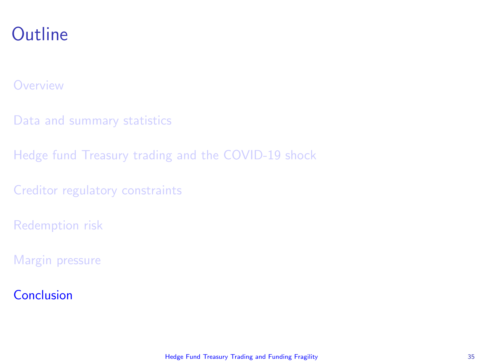### <span id="page-34-0"></span>**Outline**

#### **[Overview](#page-1-0)**

- [Data and summary statistics](#page-7-0)
- [Hedge fund Treasury trading and the COVID-19 shock](#page-12-0)
- [Creditor regulatory constraints](#page-23-0)
- [Redemption risk](#page-26-0)
- [Margin pressure](#page-31-0)

#### [Conclusion](#page-34-0)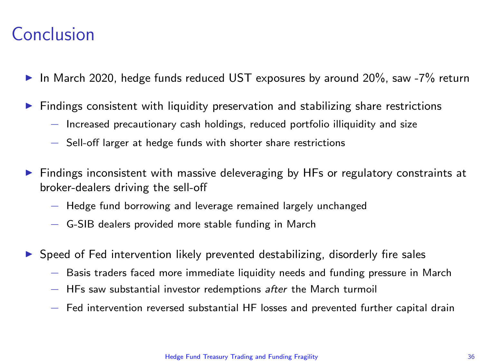### <span id="page-35-0"></span>Conclusion

- In March 2020, hedge funds reduced UST exposures by around 20%, saw -7% return
- Findings consistent with liquidity preservation and stabilizing share restrictions
	- − Increased precautionary cash holdings, reduced portfolio illiquidity and size
	- − Sell-off larger at hedge funds with shorter share restrictions
- $\triangleright$  Findings inconsistent with massive deleveraging by HFs or regulatory constraints at broker-dealers driving the sell-off
	- − Hedge fund borrowing and leverage remained largely unchanged
	- − G-SIB dealers provided more stable funding in March
- Speed of Fed intervention likely prevented destabilizing, disorderly fire sales
	- − Basis traders faced more immediate liquidity needs and funding pressure in March
	- − HFs saw substantial investor redemptions after the March turmoil
	- − Fed intervention reversed substantial HF losses and prevented further capital drain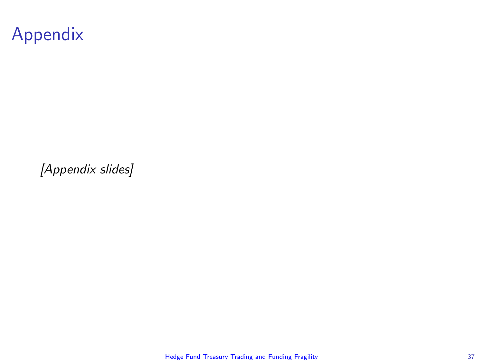

[Appendix slides]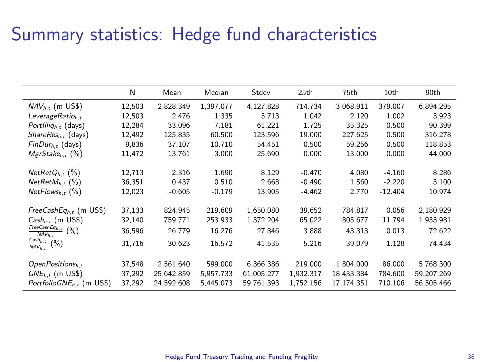### Summary statistics: Hedge fund characteristics

|                                                       | N      | Mean       | Median    | Stdev      | 25th      | 75th       | 10th      | 90th       |
|-------------------------------------------------------|--------|------------|-----------|------------|-----------|------------|-----------|------------|
| $NAV_{h,t}$ (m US\$)                                  | 12,503 | 2,828.349  | 1,397.077 | 4,127.828  | 714.734   | 3,068.911  | 379.007   | 6,894.295  |
| LeverageRatio <sub>h.t</sub>                          | 12,503 | 2.476      | 1.335     | 3.713      | 1.042     | 2.120      | 1.002     | 3.923      |
| PortIllig <sub>h,t</sub> (days)                       | 12,284 | 33.096     | 7.181     | 61.221     | 1.725     | 35.325     | 0.500     | 90.399     |
| $ShareResh.t$ (days)                                  | 12.492 | 125.835    | 60.500    | 123.596    | 19.000    | 227.625    | 0.500     | 316.278    |
| $FinDur_{h.t}$ (days)                                 | 9,836  | 37.107     | 10.710    | 54.451     | 0.500     | 59.256     | 0.500     | 118.853    |
| $MgrStake_{h.f}$ (%)                                  | 11,472 | 13.761     | 3.000     | 25.690     | 0.000     | 13.000     | 0.000     | 44.000     |
|                                                       |        |            |           |            |           |            |           |            |
| $NetRetQ_{h,t}$ (%)                                   | 12,713 | 2.316      | 1.690     | 8.129      | $-0.470$  | 4.080      | $-4.160$  | 8.286      |
| $NetRetM_{h.f.}$ (%)                                  | 36,351 | 0.437      | 0.510     | 2.668      | $-0.490$  | 1.560      | $-2.220$  | 3.100      |
| $NetFlows_{h.t}$ (%)                                  | 12,023 | $-0.605$   | $-0.179$  | 13.905     | $-4.462$  | 2.770      | $-12.404$ | 10.974     |
|                                                       |        |            |           |            |           |            |           |            |
| $FreeCashEq_{h,t}$ (m US\$)                           | 37,133 | 824.945    | 219.609   | 1,650.080  | 39.652    | 784.817    | 0.056     | 2,180.929  |
| $Cash_{h,t}$ (m US\$)                                 | 32,140 | 759.771    | 253.933   | 1,372.204  | 65.022    | 805.677    | 11.794    | 1,933.981  |
| $\frac{FreeCashEq_{h,t}}{S_{h,t}}$ (%)<br>$NAV_{h.t}$ | 36,596 | 26.779     | 16.276    | 27.846     | 3.888     | 43.313     | 0.013     | 72.622     |
| $\frac{\text{Cash}_{h,t}}{\text{NAV}_{h,t}}$<br>(%)   | 31,716 | 30.623     | 16.572    | 41.535     | 5.216     | 39.079     | 1.128     | 74.434     |
|                                                       |        |            |           |            |           |            |           |            |
| $OpenPositions_{h,t}$                                 | 37,548 | 2,561.640  | 599.000   | 6,366.386  | 219.000   | 1,804.000  | 86.000    | 5,768.300  |
| $GNE_{h,t}$ (m US\$)                                  | 37,292 | 25,642.859 | 5.957.733 | 61.005.277 | 1,932.317 | 18,433.384 | 784.600   | 59,207.269 |
| PortfolioGNE <sub>ht</sub> (m US\$)                   | 37.292 | 24.592.608 | 5.445.073 | 59.761.393 | 1.752.156 | 17.174.351 | 710.106   | 56.505.466 |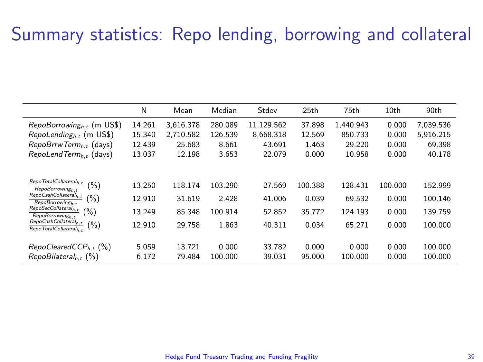### Summary statistics: Repo lending, borrowing and collateral

|                                                                                                                                                                                                                                                                                                                                                             | N                                    | Mean                                  | Median                               | Stdev                                | 25th                                | 75th                                   | 10th                               | 90th                                     |
|-------------------------------------------------------------------------------------------------------------------------------------------------------------------------------------------------------------------------------------------------------------------------------------------------------------------------------------------------------------|--------------------------------------|---------------------------------------|--------------------------------------|--------------------------------------|-------------------------------------|----------------------------------------|------------------------------------|------------------------------------------|
| $RepoBorrowing_{h,t}$ (m US\$)                                                                                                                                                                                                                                                                                                                              | 14.261                               | 3.616.378                             | 280.089                              | 11.129.562                           | 37.898                              | 1.440.943                              | 0.000                              | 7.039.536                                |
| $Repolending_{h,t}$ (m US\$)                                                                                                                                                                                                                                                                                                                                | 15,340                               | 2.710.582                             | 126.539                              | 8.668.318                            | 12.569                              | 850.733                                | 0.000                              | 5.916.215                                |
| $RepoBrrwTerm_{h.t}$ (days)                                                                                                                                                                                                                                                                                                                                 | 12.439                               | 25.683                                | 8.661                                | 43.691                               | 1.463                               | 29.220                                 | 0.000                              | 69.398                                   |
| $RepolendTerm_{h,t}$ (days)                                                                                                                                                                                                                                                                                                                                 | 13.037                               | 12.198                                | 3.653                                | 22.079                               | 0.000                               | 10.958                                 | 0.000                              | 40.178                                   |
| RepoTotalCollateral <sub>h,t</sub><br>$(\%)$<br>RepoBorrowing <sub>ht</sub><br>$\mathsf{Repo}\text{-}\mathsf{Cash}\text{-}\mathsf{Collateral}_{h,t}$<br>(%)<br>RepoBorrowing <sub>h</sub> ,<br>$\mathsf{RepoSecCollateral}_{h,t}$<br>(%)<br>RepoBorrowing <sub>ht</sub><br>RepoCashCollateral <sub>h.t</sub><br>$(\% )$<br>RepoTotalCollateral <sub>h</sub> | 13.250<br>12.910<br>13.249<br>12.910 | 118.174<br>31.619<br>85.348<br>29.758 | 103.290<br>2.428<br>100.914<br>1.863 | 27.569<br>41.006<br>52.852<br>40.311 | 100.388<br>0.039<br>35.772<br>0.034 | 128.431<br>69.532<br>124.193<br>65.271 | 100.000<br>0.000<br>0.000<br>0.000 | 152.999<br>100.146<br>139.759<br>100.000 |
| $RepoClearedCCP_{h.f.}$ (%)                                                                                                                                                                                                                                                                                                                                 | 5.059                                | 13.721                                | 0.000                                | 33.782                               | 0.000                               | 0.000                                  | 0.000                              | 100.000                                  |
| $RepoBilateralh.t$ (%)                                                                                                                                                                                                                                                                                                                                      | 6.172                                | 79.484                                | 100.000                              | 39.031                               | 95.000                              | 100.000                                | 0.000                              | 100.000                                  |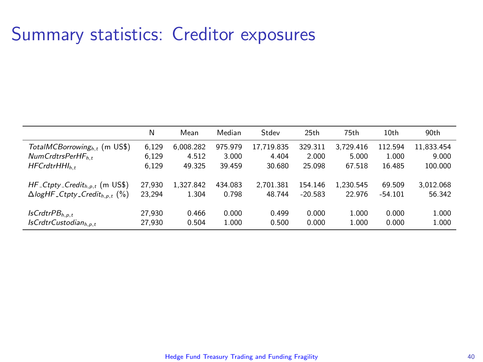### Summary statistics: Creditor exposures

|                                                  | Ν      | Mean      | Median  | Stdev      | 25th      | 75th      | 10th      | 90th       |
|--------------------------------------------------|--------|-----------|---------|------------|-----------|-----------|-----------|------------|
| TotalMCBorrowing <sub>h.t</sub> (m US\$)         | 6.129  | 6.008.282 | 975.979 | 17.719.835 | 329.311   | 3.729.416 | 112.594   | 11.833.454 |
| $NumCrdtsPerHF_{h,t}$                            | 6.129  | 4.512     | 3.000   | 4.404      | 2.000     | 5.000     | 1.000     | 9.000      |
| $HFCrdtrHHh_t$                                   | 6.129  | 49.325    | 39.459  | 30.680     | 25.098    | 67.518    | 16.485    | 100.000    |
| $HF_C(tpty_Credit_{h,p,t}$ (m US\$)              | 27.930 | 1.327.842 | 434.083 | 2.701.381  | 154.146   | 1.230.545 | 69.509    | 3.012.068  |
| $\Delta$ logHF_Ctpty_Credit <sub>h.p.t</sub> (%) | 23.294 | 1.304     | 0.798   | 48.744     | $-20.583$ | 22.976    | $-54.101$ | 56.342     |
| $IsCrdtrPB_{h.o.t}$                              | 27.930 | 0.466     | 0.000   | 0.499      | 0.000     | 1.000     | 0.000     | 1.000      |
| $IsCrdtrCustodian_{h.o.t}$                       | 27.930 | 0.504     | 1.000   | 0.500      | 0.000     | 1.000     | 0.000     | 1.000      |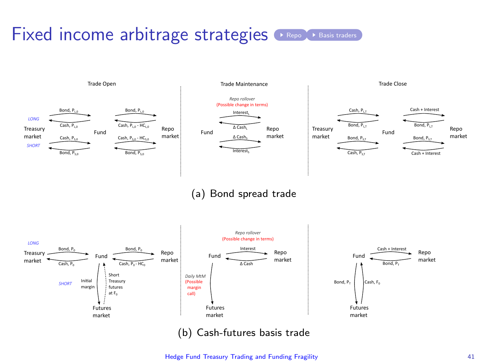## <span id="page-40-0"></span>Fixed income arbitrage strategies **[Repo](#page-17-0) & [Basis traders](#page-33-0)**



(a) Bond spread trade



[Hedge Fund Treasury Trading and Funding Fragility](#page-0-0) 41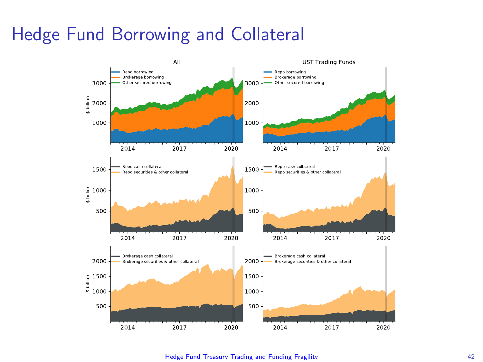### Hedge Fund Borrowing and Collateral



[Hedge Fund Treasury Trading and Funding Fragility](#page-0-0) 42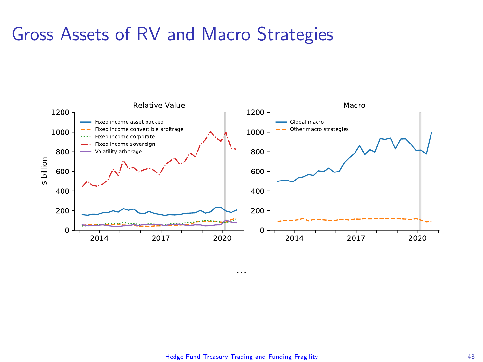### Gross Assets of RV and Macro Strategies



#### [Hedge Fund Treasury Trading and Funding Fragility](#page-0-0) 43

...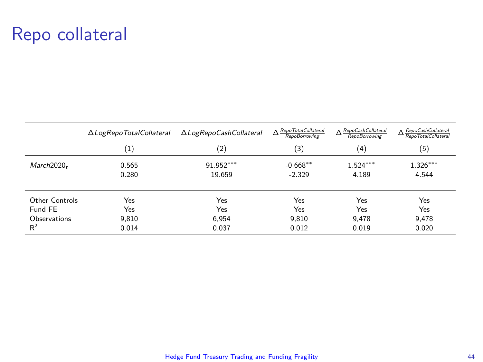### Repo collateral

|                        | $\Delta$ Log $\mathsf{Rep}\nolimits$ TotalCollateral | ∆LogRepoCashCollateral | $\Delta$ RepoTotalCollateral<br>RepoBorrowing | $\Delta$ RepoCashCollateral<br>RepoBorrowing | A RepoCashCollateral<br>RepoTotalCollateral |
|------------------------|------------------------------------------------------|------------------------|-----------------------------------------------|----------------------------------------------|---------------------------------------------|
|                        | $\left(1\right)$                                     | (2)                    | (3)                                           | (4)                                          | (5)                                         |
| March2020 <sub>r</sub> | 0.565                                                | 91.952***              | $-0.668**$                                    | $1.524***$                                   | $1.326***$                                  |
|                        | 0.280                                                | 19.659                 | $-2.329$                                      | 4.189                                        | 4.544                                       |
| Other Controls         | Yes                                                  | Yes                    | Yes                                           | Yes                                          | Yes                                         |
| Fund FE                | Yes                                                  | Yes                    | Yes                                           | Yes                                          | Yes                                         |
| Observations           | 9.810                                                | 6.954                  | 9.810                                         | 9.478                                        | 9.478                                       |
| $R^2$                  | 0.014                                                | 0.037                  | 0.012                                         | 0.019                                        | 0.020                                       |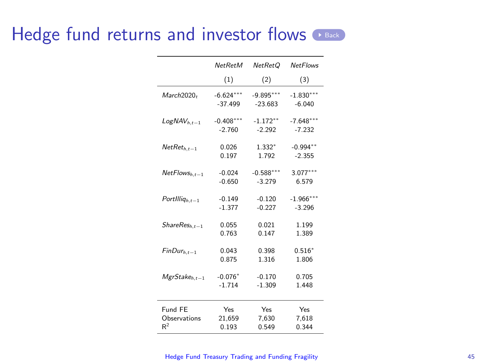### <span id="page-44-0"></span>Hedge fund returns and investor flows

|                    | <b>NetRetM</b> | NetRet <sub>O</sub> | <b>NetFlows</b> |
|--------------------|----------------|---------------------|-----------------|
|                    | (1)            | (2)                 | (3)             |
| March2020+         | $-6.624***$    | $-9.895***$         | $-1.830***$     |
|                    | $-37.499$      | $-23.683$           | $-6.040$        |
| $LogNAV_{h.t-1}$   | $-0.408***$    | $-1.172**$          | $-7.648***$     |
|                    | $-2.760$       | $-2.292$            | $-7.232$        |
| $NetRet_{h,t-1}$   | 0.026          | $1.332*$            | $-0.994**$      |
|                    | 0.197          | 1.792               | $-2.355$        |
| $NetFlows_{h,t-1}$ | $-0.024$       | $-0.588***$         | $3.077***$      |
|                    | $-0.650$       | $-3.279$            | 6.579           |
| $Portlllq_{h,t-1}$ | $-0.149$       | $-0.120$            | $-1.966***$     |
|                    | $-1.377$       | $-0.227$            | $-3.296$        |
| $ShareResh.t-1$    | 0.055          | 0.021               | 1.199           |
|                    | 0.763          | 0.147               | 1.389           |
| $FinDur_{h,t-1}$   | 0.043          | 0.398               | $0.516*$        |
|                    | 0.875          | 1.316               | 1.806           |
| $MgrStakeh,t-1$    | $-0.076*$      | $-0.170$            | 0.705           |
|                    | $-1.714$       | $-1.309$            | 1.448           |
| Fund FF            | Yes            | Yes                 | Yes             |
| Observations       | 21.659         | 7.630               | 7.618           |
| R <sup>2</sup>     | 0.193          | 0.549               | 0.344           |

#### [Hedge Fund Treasury Trading and Funding Fragility](#page-0-0) 45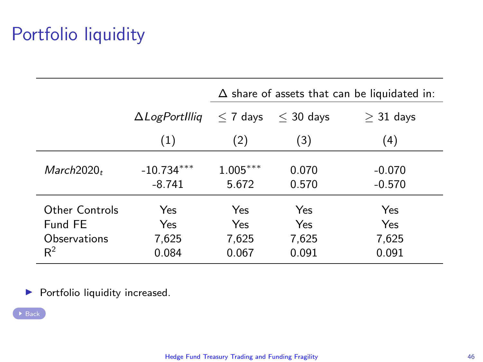# Portfolio liquidity

<span id="page-45-0"></span>

|                                                    |                              | $\Delta$ share of assets that can be liquidated in: |                              |                              |  |
|----------------------------------------------------|------------------------------|-----------------------------------------------------|------------------------------|------------------------------|--|
|                                                    | $\Delta$ LogPortIllig        | $< 7$ days                                          | $<$ 30 days                  | $>$ 31 days                  |  |
|                                                    | (1)                          | (2)                                                 | (3)                          | (4)                          |  |
| March2020 <sub>t</sub>                             | $-10.734***$<br>$-8.741$     | $1.005***$<br>5.672                                 | 0.070<br>0.570               | $-0.070$<br>$-0.570$         |  |
| Other Controls<br>Fund FF<br>Observations<br>$R^2$ | Yes<br>Yes<br>7.625<br>0.084 | Yes<br>Yes<br>7,625<br>0.067                        | Yes<br>Yes<br>7,625<br>0.091 | Yes<br>Yes<br>7,625<br>0.091 |  |

 $\blacktriangleright$  Portfolio liquidity increased.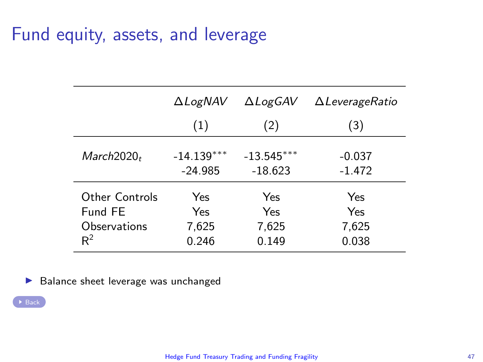### Fund equity, assets, and leverage

|                | <b>ALogNAV</b> | $\Delta Log$ GAV | $\Delta$ LeverageRatio |
|----------------|----------------|------------------|------------------------|
|                | (1)            | (2)              | (3)                    |
| $March2020_t$  | $-14.139***$   | $-13.545***$     | $-0.037$               |
|                | $-24.985$      | $-18.623$        | $-1.472$               |
| Other Controls | Yes            | Yes              | <b>Yes</b>             |
| Fund FF        | Yes            | Yes              | Yes                    |
| Observations   | 7.625          | 7.625            | 7.625                  |
| $R^2$          | 0.246          | 0.149            | 0.038                  |

 $\blacktriangleright$  Balance sheet leverage was unchanged

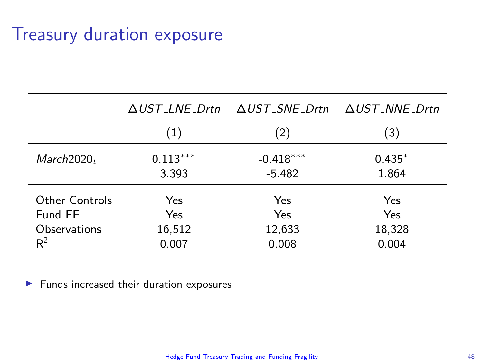### Treasury duration exposure

|                        | $\triangle$ <i>UST LNE Drtn</i> | $\triangle UST$ SNE Drtn | $\triangle UST$ _NNE_Drtn |
|------------------------|---------------------------------|--------------------------|---------------------------|
|                        | (1)                             | (2)                      | (3)                       |
| March2020 <sub>t</sub> | $0.113***$                      | $-0.418***$              | $0.435*$                  |
|                        | 3.393                           | $-5.482$                 | 1.864                     |
| <b>Other Controls</b>  | Yes                             | Yes                      | Yes                       |
| Fund FE                | Yes                             | Yes                      | Yes                       |
| Observations           | 16,512                          | 12,633                   | 18,328                    |
| $R^2$                  | 0.007                           | 0.008                    | 0.004                     |

 $\blacktriangleright$  Funds increased their duration exposures